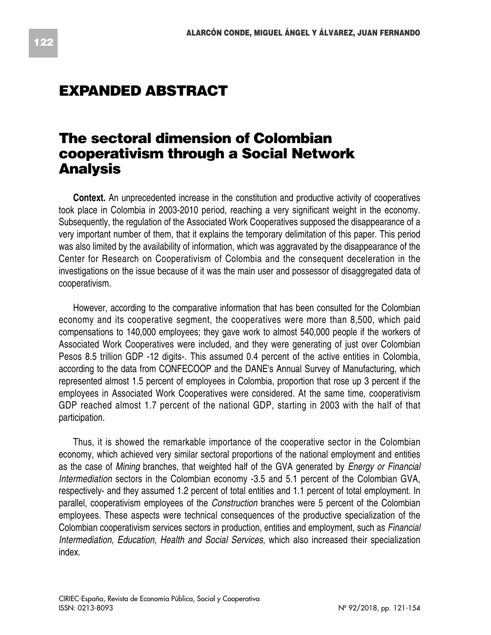## **EXPANDED ABSTRACT**

## **The sectoral dimension of Colombian cooperativism through a Social Network Analysis**

**Context.** An unprecedented increase in the constitution and productive activity of cooperatives took place in Colombia in 2003-2010 period, reaching a very significant weight in the economy. Subsequently, the regulation of the Associated Work Cooperatives supposed the disappearance of a very important number of them, that it explains the temporary delimitation of this paper. This period was also limited by the availability of information, which was aggravated by the disappearance of the Center for Research on Cooperativism of Colombia and the consequent deceleration in the investigations on the issue because of it was the main user and possessor of disaggregated data of cooperativism.

However, according to the comparative information that has been consulted for the Colombian economy and its cooperative segment, the cooperatives were more than 8,500, which paid compensations to 140,000 employees; they gave work to almost 540,000 people if the workers of Associated Work Cooperatives were included, and they were generating of just over Colombian Pesos 8.5 trillion GDP -12 digits-. This assumed 0.4 percent of the active entities in Colombia, according to the data from CONFECOOP and the DANE's Annual Survey of Manufacturing, which represented almost 1.5 percent of employees in Colombia, proportion that rose up 3 percent if the employees in Associated Work Cooperatives were considered. At the same time, cooperativism GDP reached almost 1.7 percent of the national GDP, starting in 2003 with the half of that participation.

Thus, it is showed the remarkable importance of the cooperative sector in the Colombian economy, which achieved very similar sectoral proportions of the national employment and entities as the case of *Mining* branches, that weighted half of the GVA generated by *Energy or Financial Intermediation* sectors in the Colombian economy -3.5 and 5.1 percent of the Colombian GVA, respectively- and they assumed 1.2 percent of total entities and 1.1 percent of total employment. In parallel, cooperativism employees of the *Construction* branches were 5 percent of the Colombian employees. These aspects were technical consequences of the productive specialization of the Colombian cooperativism services sectors in production, entities and employment, such as *Financial Intermediation, Education, Health and Social Services*, which also increased their specialization index.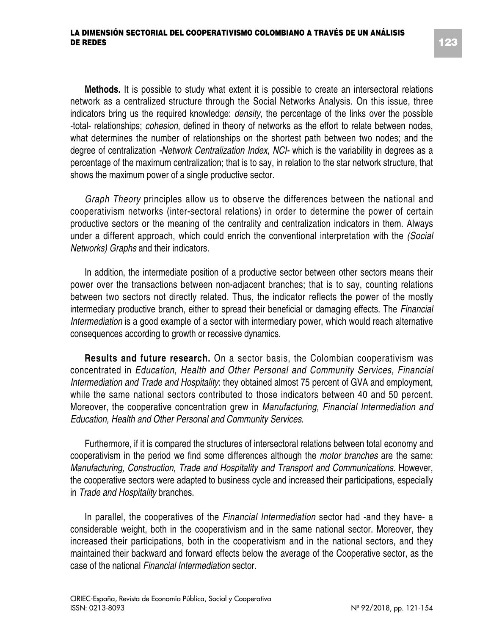## **LA DIMENSIÓN SECTORIAL DEL COOPERATIVISMO COLOMBIANO A TRAVÉS DE UN ANÁLISIS DE REDES**

**Methods.** It is possible to study what extent it is possible to create an intersectoral relations network as a centralized structure through the Social Networks Analysis. On this issue, three indicators bring us the required knowledge: *density*, the percentage of the links over the possible -total- relationships; *cohesion*, defined in theory of networks as the effort to relate between nodes, what determines the number of relationships on the shortest path between two nodes; and the degree of centralization *-Network Centralization Index, NCI-* which is the variability in degrees as a percentage of the maximum centralization; that is to say, in relation to the star network structure, that shows the maximum power of a single productive sector.

*Graph Theory* principles allow us to observe the differences between the national and cooperativism networks (inter-sectoral relations) in order to determine the power of certain productive sectors or the meaning of the centrality and centralization indicators in them. Always under a different approach, which could enrich the conventional interpretation with the *(Social Networks) Graphs* and their indicators.

In addition, the intermediate position of a productive sector between other sectors means their power over the transactions between non-adjacent branches; that is to say, counting relations between two sectors not directly related. Thus, the indicator reflects the power of the mostly intermediary productive branch, either to spread their beneficial or damaging effects. The *Financial Intermediation* is a good example of a sector with intermediary power, which would reach alternative consequences according to growth or recessive dynamics.

**Results and future research.** On a sector basis, the Colombian cooperativism was concentrated in *Education, Health and Other Personal and Community Services, Financial Intermediation and Trade and Hospitality*: they obtained almost 75 percent of GVA and employment, while the same national sectors contributed to those indicators between 40 and 50 percent. Moreover, the cooperative concentration grew in *Manufacturing, Financial Intermediation and Education, Health and Other Personal and Community Services*.

Furthermore, if it is compared the structures of intersectoral relations between total economy and cooperativism in the period we find some differences although the *motor branches* are the same: *Manufacturing, Construction, Trade and Hospitality and Transport and Communications.* However, the cooperative sectors were adapted to business cycle and increased their participations, especially in *Trade and Hospitality* branches.

In parallel, the cooperatives of the *Financial Intermediation* sector had -and they have- a considerable weight, both in the cooperativism and in the same national sector. Moreover, they increased their participations, both in the cooperativism and in the national sectors, and they maintained their backward and forward effects below the average of the Cooperative sector, as the case of the national *Financial Intermediation* sector.